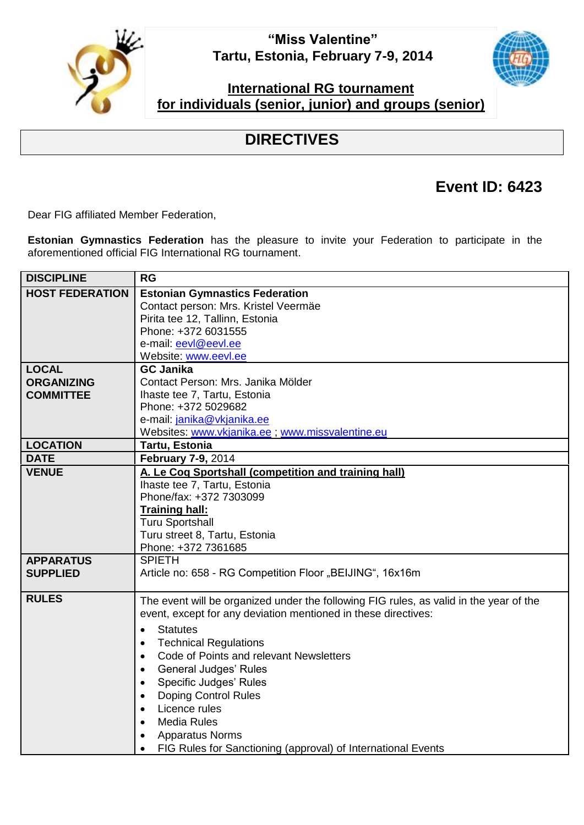**"Miss Valentine" Tartu, Estonia, February 7-9, 2014**



## **International RG tournament for individuals (senior, junior) and groups (senior)**

## **DIRECTIVES**

## **Event ID: 6423**

Dear FIG affiliated Member Federation,

**Estonian Gymnastics Federation** has the pleasure to invite your Federation to participate in the aforementioned official FIG International RG tournament.

| <b>DISCIPLINE</b>      | <b>RG</b>                                                                              |  |  |
|------------------------|----------------------------------------------------------------------------------------|--|--|
| <b>HOST FEDERATION</b> | <b>Estonian Gymnastics Federation</b>                                                  |  |  |
|                        | Contact person: Mrs. Kristel Veermäe                                                   |  |  |
|                        | Pirita tee 12, Tallinn, Estonia                                                        |  |  |
|                        | Phone: +372 6031555                                                                    |  |  |
|                        | e-mail: eevl@eevl.ee                                                                   |  |  |
|                        | Website: www.eevl.ee                                                                   |  |  |
| <b>LOCAL</b>           | <b>GC Janika</b>                                                                       |  |  |
| <b>ORGANIZING</b>      | Contact Person: Mrs. Janika Mölder                                                     |  |  |
| <b>COMMITTEE</b>       | Ihaste tee 7, Tartu, Estonia                                                           |  |  |
|                        | Phone: +372 5029682                                                                    |  |  |
|                        | e-mail: janika@vkjanika.ee                                                             |  |  |
|                        | Websites: www.vkjanika.ee ; www.missvalentine.eu                                       |  |  |
| <b>LOCATION</b>        | Tartu, Estonia                                                                         |  |  |
| <b>DATE</b>            | February 7-9, 2014                                                                     |  |  |
| <b>VENUE</b>           | A. Le Coq Sportshall (competition and training hall)                                   |  |  |
|                        | Ihaste tee 7, Tartu, Estonia                                                           |  |  |
|                        | Phone/fax: +372 7303099                                                                |  |  |
|                        | <b>Training hall:</b>                                                                  |  |  |
|                        | <b>Turu Sportshall</b>                                                                 |  |  |
|                        | Turu street 8, Tartu, Estonia                                                          |  |  |
|                        | Phone: +372 7361685                                                                    |  |  |
| <b>APPARATUS</b>       | <b>SPIETH</b>                                                                          |  |  |
| <b>SUPPLIED</b>        | Article no: 658 - RG Competition Floor "BEIJING", 16x16m                               |  |  |
| <b>RULES</b>           |                                                                                        |  |  |
|                        | The event will be organized under the following FIG rules, as valid in the year of the |  |  |
|                        | event, except for any deviation mentioned in these directives:                         |  |  |
|                        | <b>Statutes</b><br>$\bullet$                                                           |  |  |
|                        | <b>Technical Regulations</b><br>$\bullet$                                              |  |  |
|                        | Code of Points and relevant Newsletters<br>$\bullet$                                   |  |  |
|                        | <b>General Judges' Rules</b><br>$\bullet$                                              |  |  |
|                        | Specific Judges' Rules<br>$\bullet$                                                    |  |  |
|                        | <b>Doping Control Rules</b><br>$\bullet$                                               |  |  |
|                        | Licence rules<br>$\bullet$                                                             |  |  |
|                        | <b>Media Rules</b><br>$\bullet$                                                        |  |  |
|                        | <b>Apparatus Norms</b><br>$\bullet$                                                    |  |  |
|                        | FIG Rules for Sanctioning (approval) of International Events<br>$\bullet$              |  |  |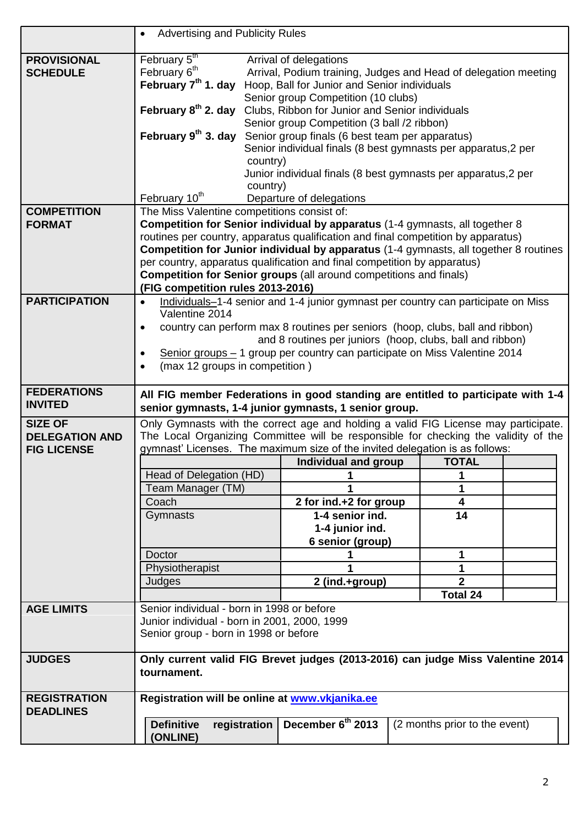|                       | <b>Advertising and Publicity Rules</b><br>$\bullet$                                   |                                                                                   |  |                               |  |  |
|-----------------------|---------------------------------------------------------------------------------------|-----------------------------------------------------------------------------------|--|-------------------------------|--|--|
| <b>PROVISIONAL</b>    | February 5th                                                                          | Arrival of delegations                                                            |  |                               |  |  |
| <b>SCHEDULE</b>       | February 6 <sup>th</sup>                                                              | Arrival, Podium training, Judges and Head of delegation meeting                   |  |                               |  |  |
|                       | February 7 <sup>th</sup> 1. day                                                       | Hoop, Ball for Junior and Senior individuals                                      |  |                               |  |  |
|                       |                                                                                       | Senior group Competition (10 clubs)                                               |  |                               |  |  |
|                       | February 8 <sup>th</sup> 2. day                                                       | Clubs, Ribbon for Junior and Senior individuals                                   |  |                               |  |  |
|                       |                                                                                       | Senior group Competition (3 ball /2 ribbon)                                       |  |                               |  |  |
|                       | February 9 <sup>th</sup> 3. day                                                       | Senior group finals (6 best team per apparatus)                                   |  |                               |  |  |
|                       |                                                                                       | Senior individual finals (8 best gymnasts per apparatus, 2 per                    |  |                               |  |  |
|                       | country)                                                                              |                                                                                   |  |                               |  |  |
|                       |                                                                                       | Junior individual finals (8 best gymnasts per apparatus,2 per                     |  |                               |  |  |
|                       | country)                                                                              |                                                                                   |  |                               |  |  |
|                       | February 10 <sup>th</sup>                                                             | Departure of delegations                                                          |  |                               |  |  |
| <b>COMPETITION</b>    | The Miss Valentine competitions consist of:                                           |                                                                                   |  |                               |  |  |
| <b>FORMAT</b>         | Competition for Senior individual by apparatus (1-4 gymnasts, all together 8          |                                                                                   |  |                               |  |  |
|                       | routines per country, apparatus qualification and final competition by apparatus)     |                                                                                   |  |                               |  |  |
|                       | Competition for Junior individual by apparatus (1-4 gymnasts, all together 8 routines |                                                                                   |  |                               |  |  |
|                       | per country, apparatus qualification and final competition by apparatus)              |                                                                                   |  |                               |  |  |
|                       | <b>Competition for Senior groups</b> (all around competitions and finals)             |                                                                                   |  |                               |  |  |
|                       | (FIG competition rules 2013-2016)                                                     |                                                                                   |  |                               |  |  |
| <b>PARTICIPATION</b>  | $\bullet$                                                                             | Individuals-1-4 senior and 1-4 junior gymnast per country can participate on Miss |  |                               |  |  |
|                       | Valentine 2014                                                                        |                                                                                   |  |                               |  |  |
|                       | $\bullet$                                                                             | country can perform max 8 routines per seniors (hoop, clubs, ball and ribbon)     |  |                               |  |  |
|                       |                                                                                       | and 8 routines per juniors (hoop, clubs, ball and ribbon)                         |  |                               |  |  |
|                       |                                                                                       | Senior groups - 1 group per country can participate on Miss Valentine 2014        |  |                               |  |  |
|                       | (max 12 groups in competition)<br>$\bullet$                                           |                                                                                   |  |                               |  |  |
| <b>FEDERATIONS</b>    |                                                                                       |                                                                                   |  |                               |  |  |
| <b>INVITED</b>        | All FIG member Federations in good standing are entitled to participate with 1-4      |                                                                                   |  |                               |  |  |
|                       |                                                                                       |                                                                                   |  |                               |  |  |
|                       | senior gymnasts, 1-4 junior gymnasts, 1 senior group.                                 |                                                                                   |  |                               |  |  |
| <b>SIZE OF</b>        | Only Gymnasts with the correct age and holding a valid FIG License may participate.   |                                                                                   |  |                               |  |  |
| <b>DELEGATION AND</b> | The Local Organizing Committee will be responsible for checking the validity of the   |                                                                                   |  |                               |  |  |
| <b>FIG LICENSE</b>    | gymnast' Licenses. The maximum size of the invited delegation is as follows:          |                                                                                   |  |                               |  |  |
|                       |                                                                                       | Individual and group                                                              |  | <b>TOTAL</b>                  |  |  |
|                       | Head of Delegation (HD)                                                               | 1                                                                                 |  | 1                             |  |  |
|                       | Team Manager (TM)                                                                     |                                                                                   |  | 1                             |  |  |
|                       | Coach                                                                                 | 2 for ind.+2 for group                                                            |  | 4                             |  |  |
|                       | Gymnasts                                                                              | 1-4 senior ind.                                                                   |  | 14                            |  |  |
|                       |                                                                                       | 1-4 junior ind.                                                                   |  |                               |  |  |
|                       |                                                                                       | 6 senior (group)                                                                  |  |                               |  |  |
|                       | Doctor                                                                                |                                                                                   |  | 1                             |  |  |
|                       | Physiotherapist                                                                       |                                                                                   |  | 1                             |  |  |
|                       | Judges                                                                                | 2 (ind.+group)                                                                    |  | $\overline{2}$                |  |  |
|                       |                                                                                       |                                                                                   |  | <b>Total 24</b>               |  |  |
| <b>AGE LIMITS</b>     | Senior individual - born in 1998 or before                                            |                                                                                   |  |                               |  |  |
|                       | Junior individual - born in 2001, 2000, 1999                                          |                                                                                   |  |                               |  |  |
|                       | Senior group - born in 1998 or before                                                 |                                                                                   |  |                               |  |  |
| <b>JUDGES</b>         | Only current valid FIG Brevet judges (2013-2016) can judge Miss Valentine 2014        |                                                                                   |  |                               |  |  |
|                       | tournament.                                                                           |                                                                                   |  |                               |  |  |
|                       |                                                                                       |                                                                                   |  |                               |  |  |
| <b>REGISTRATION</b>   | Registration will be online at www.vkjanika.ee                                        |                                                                                   |  |                               |  |  |
| <b>DEADLINES</b>      |                                                                                       |                                                                                   |  |                               |  |  |
|                       | <b>Definitive</b><br>registration<br>(ONLINE)                                         | December 6th 2013                                                                 |  | (2 months prior to the event) |  |  |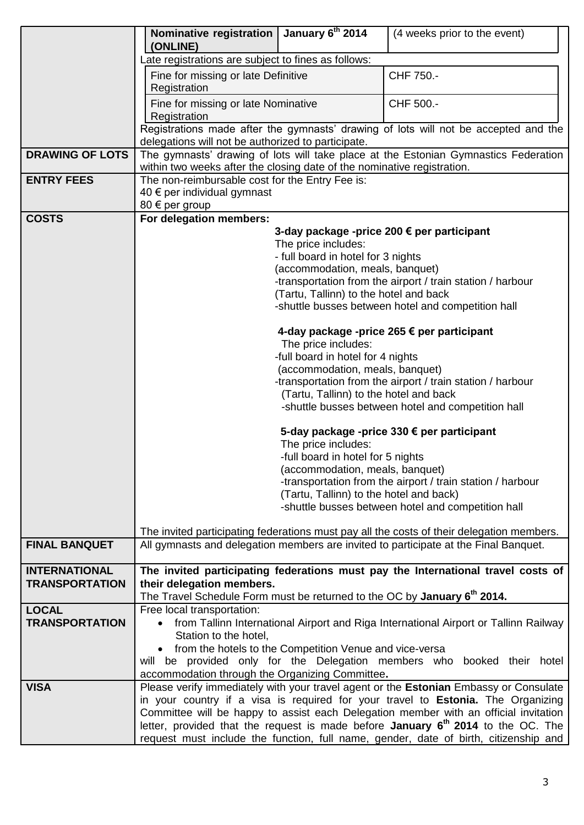|                        | <b>Nominative registration</b><br>(ONLINE)                                                                                                                                           | January 6 <sup>th</sup> 2014           | (4 weeks prior to the event)                                                              |  |  |
|------------------------|--------------------------------------------------------------------------------------------------------------------------------------------------------------------------------------|----------------------------------------|-------------------------------------------------------------------------------------------|--|--|
|                        | Late registrations are subject to fines as follows:                                                                                                                                  |                                        |                                                                                           |  |  |
|                        | Fine for missing or late Definitive                                                                                                                                                  |                                        | CHF 750.-                                                                                 |  |  |
|                        | Registration                                                                                                                                                                         |                                        |                                                                                           |  |  |
|                        | Fine for missing or late Nominative                                                                                                                                                  |                                        | CHF 500.-                                                                                 |  |  |
|                        | Registration                                                                                                                                                                         |                                        |                                                                                           |  |  |
|                        | Registrations made after the gymnasts' drawing of lots will not be accepted and the<br>delegations will not be authorized to participate.                                            |                                        |                                                                                           |  |  |
| <b>DRAWING OF LOTS</b> |                                                                                                                                                                                      |                                        | The gymnasts' drawing of lots will take place at the Estonian Gymnastics Federation       |  |  |
|                        | within two weeks after the closing date of the nominative registration.                                                                                                              |                                        |                                                                                           |  |  |
| <b>ENTRY FEES</b>      | The non-reimbursable cost for the Entry Fee is:                                                                                                                                      |                                        |                                                                                           |  |  |
|                        | 40 € per individual gymnast                                                                                                                                                          |                                        |                                                                                           |  |  |
| <b>COSTS</b>           | 80 $\epsilon$ per group                                                                                                                                                              |                                        |                                                                                           |  |  |
|                        | For delegation members:                                                                                                                                                              |                                        | 3-day package -price 200 € per participant                                                |  |  |
|                        |                                                                                                                                                                                      | The price includes:                    |                                                                                           |  |  |
|                        |                                                                                                                                                                                      | - full board in hotel for 3 nights     |                                                                                           |  |  |
|                        |                                                                                                                                                                                      | (accommodation, meals, banquet)        |                                                                                           |  |  |
|                        |                                                                                                                                                                                      |                                        | -transportation from the airport / train station / harbour                                |  |  |
|                        |                                                                                                                                                                                      | (Tartu, Tallinn) to the hotel and back |                                                                                           |  |  |
|                        |                                                                                                                                                                                      |                                        | -shuttle busses between hotel and competition hall                                        |  |  |
|                        |                                                                                                                                                                                      |                                        | 4-day package -price 265 € per participant                                                |  |  |
|                        |                                                                                                                                                                                      | The price includes:                    |                                                                                           |  |  |
|                        |                                                                                                                                                                                      | -full board in hotel for 4 nights      |                                                                                           |  |  |
|                        |                                                                                                                                                                                      | (accommodation, meals, banquet)        |                                                                                           |  |  |
|                        |                                                                                                                                                                                      |                                        | -transportation from the airport / train station / harbour                                |  |  |
|                        |                                                                                                                                                                                      | (Tartu, Tallinn) to the hotel and back |                                                                                           |  |  |
|                        |                                                                                                                                                                                      |                                        | -shuttle busses between hotel and competition hall                                        |  |  |
|                        | 5-day package -price 330 € per participant                                                                                                                                           |                                        |                                                                                           |  |  |
|                        |                                                                                                                                                                                      | The price includes:                    |                                                                                           |  |  |
|                        | -full board in hotel for 5 nights<br>(accommodation, meals, banquet)                                                                                                                 |                                        |                                                                                           |  |  |
|                        | -transportation from the airport / train station / harbour                                                                                                                           |                                        |                                                                                           |  |  |
|                        | (Tartu, Tallinn) to the hotel and back)                                                                                                                                              |                                        |                                                                                           |  |  |
|                        |                                                                                                                                                                                      |                                        | -shuttle busses between hotel and competition hall                                        |  |  |
|                        |                                                                                                                                                                                      |                                        | The invited participating federations must pay all the costs of their delegation members. |  |  |
| <b>FINAL BANQUET</b>   |                                                                                                                                                                                      |                                        | All gymnasts and delegation members are invited to participate at the Final Banquet.      |  |  |
|                        |                                                                                                                                                                                      |                                        |                                                                                           |  |  |
| <b>INTERNATIONAL</b>   |                                                                                                                                                                                      |                                        | The invited participating federations must pay the International travel costs of          |  |  |
| <b>TRANSPORTATION</b>  | their delegation members.<br>The Travel Schedule Form must be returned to the OC by January 6 <sup>th</sup> 2014.                                                                    |                                        |                                                                                           |  |  |
| <b>LOCAL</b>           | Free local transportation:                                                                                                                                                           |                                        |                                                                                           |  |  |
| <b>TRANSPORTATION</b>  |                                                                                                                                                                                      |                                        | from Tallinn International Airport and Riga International Airport or Tallinn Railway      |  |  |
|                        | Station to the hotel,                                                                                                                                                                |                                        |                                                                                           |  |  |
|                        | • from the hotels to the Competition Venue and vice-versa                                                                                                                            |                                        |                                                                                           |  |  |
|                        |                                                                                                                                                                                      |                                        | will be provided only for the Delegation members who booked their hotel                   |  |  |
|                        | accommodation through the Organizing Committee.                                                                                                                                      |                                        |                                                                                           |  |  |
| <b>VISA</b>            |                                                                                                                                                                                      |                                        | Please verify immediately with your travel agent or the Estonian Embassy or Consulate     |  |  |
|                        |                                                                                                                                                                                      |                                        | in your country if a visa is required for your travel to Estonia. The Organizing          |  |  |
|                        | Committee will be happy to assist each Delegation member with an official invitation                                                                                                 |                                        |                                                                                           |  |  |
|                        | letter, provided that the request is made before January 6 <sup>th</sup> 2014 to the OC. The<br>request must include the function, full name, gender, date of birth, citizenship and |                                        |                                                                                           |  |  |
|                        |                                                                                                                                                                                      |                                        |                                                                                           |  |  |